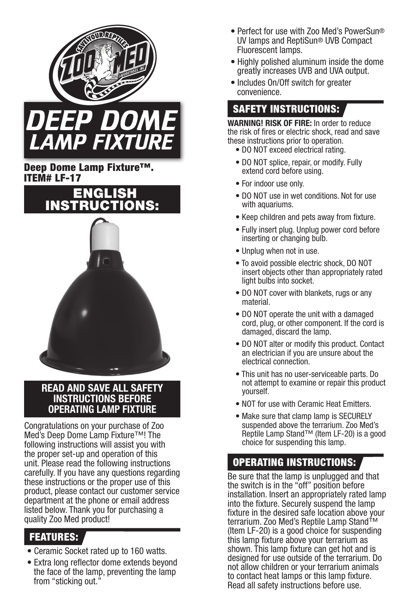



#### Deep Dome Lamp Fixture™. ITEM# LF-17



#### **READ AND SAVE ALL SAFETY INSTRUCTIONS BEFORE OPERATING LAMP FIXTURE**

Congratulations on your purchase of Zoo Med's Deep Dome Lamp Fixture™! The following instructions will assist you with the proper set-up and operation of this unit. Please read the following instructions carefully. If you have any questions regarding these instructions or the proper use of this product, please contact our customer service department at the phone or email address listed below. Thank you for purchasing a quality Zoo Med product!

## FEATURES:

- Ceramic Socket rated up to 160 watts.
- Extra long reflector dome extends beyond the face of the lamp, preventing the lamp from "sticking out."
- Perfect for use with Zoo Med's PowerSun® UV lamps and ReptiSun® UVB Compact Fluorescent lamps.
- Highly polished aluminum inside the dome greatly increases UVB and UVA output.
- Includes On/Off switch for greater convenience.

## SAFETY INSTRUCTIONS:

**WARNING! RISK OF FIRE:** In order to reduce the risk of fires or electric shock, read and save these instructions prior to operation.

- DO NOT exceed electrical rating.
- DO NOT splice, repair, or modify. Fully extend cord before using.
- For indoor use only.
- DO NOT use in wet conditions. Not for use with aquariums.
- Keep children and pets away from fixture.
- Fully insert plug. Unplug power cord before inserting or changing bulb.
- Unplug when not in use.
- To avoid possible electric shock, DO NOT insert objects other than appropriately rated light bulbs into socket.
- DO NOT cover with blankets, rugs or any material.
- DO NOT operate the unit with a damaged cord, plug, or other component. If the cord is damaged, discard the lamp.
- DO NOT alter or modify this product. Contact an electrician if you are unsure about the electrical connection.
- This unit has no user-serviceable parts. Do not attempt to examine or repair this product yourself.
- NOT for use with Ceramic Heat Emitters.
- Make sure that clamp lamp is SECURELY suspended above the terrarium. Zoo Med's Reptile Lamp Stand™ (Item LF-20) is a good choice for suspending this lamp.

# OPERATING INSTRUCTIONS:

Be sure that the lamp is unplugged and that the switch is in the "off" position before installation. Insert an appropriately rated lamp into the fixture. Securely suspend the lamp fixture in the desired safe location above your terrarium. Zoo Med's Reptile Lamp Stand™ (Item LF-20) is a good choice for suspending this lamp fixture above your terrarium as shown. This lamp fixture can get hot and is designed for use outside of the terrarium. Do not allow children or your terrarium animals to contact heat lamps or this lamp fixture. Read all safety instructions before use.